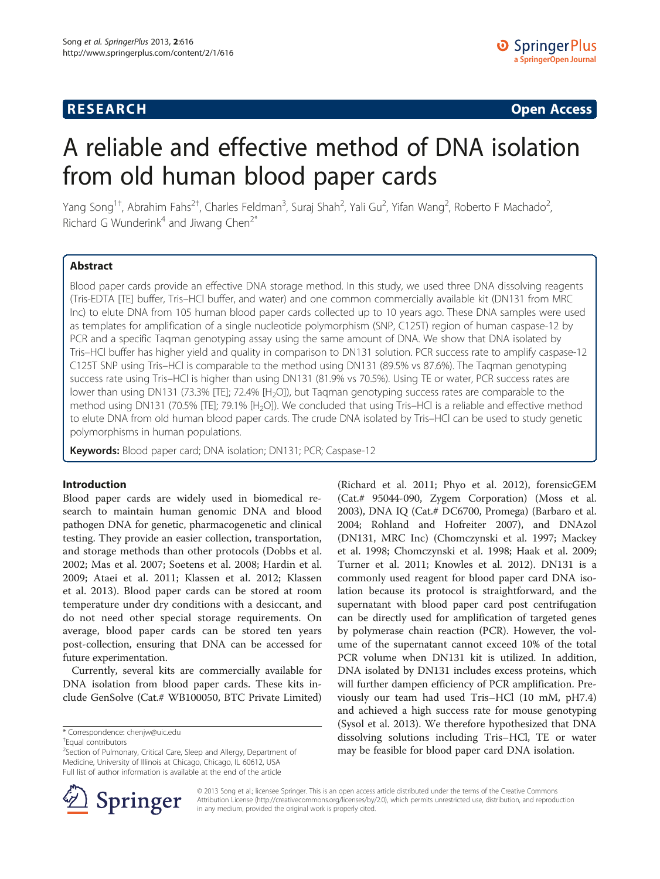## **RESEARCH RESEARCH CONSUMING ACCESS**

# A reliable and effective method of DNA isolation from old human blood paper cards

Yang Song<sup>1†</sup>, Abrahim Fahs<sup>2†</sup>, Charles Feldman<sup>3</sup>, Suraj Shah<sup>2</sup>, Yali Gu<sup>2</sup>, Yifan Wang<sup>2</sup>, Roberto F Machado<sup>2</sup> , Richard G Wunderink<sup>4</sup> and Jiwang Chen<sup>2\*</sup>

## Abstract

Blood paper cards provide an effective DNA storage method. In this study, we used three DNA dissolving reagents (Tris-EDTA [TE] buffer, Tris–HCl buffer, and water) and one common commercially available kit (DN131 from MRC Inc) to elute DNA from 105 human blood paper cards collected up to 10 years ago. These DNA samples were used as templates for amplification of a single nucleotide polymorphism (SNP, C125T) region of human caspase-12 by PCR and a specific Taqman genotyping assay using the same amount of DNA. We show that DNA isolated by Tris–HCl buffer has higher yield and quality in comparison to DN131 solution. PCR success rate to amplify caspase-12 C125T SNP using Tris–HCl is comparable to the method using DN131 (89.5% vs 87.6%). The Taqman genotyping success rate using Tris–HCl is higher than using DN131 (81.9% vs 70.5%). Using TE or water, PCR success rates are lower than using DN131 (73.3% [TE]; 72.4% [H<sub>2</sub>O]), but Tagman genotyping success rates are comparable to the method using DN131 (70.5% [TE]; 79.1% [H<sub>2</sub>O]). We concluded that using Tris–HCl is a reliable and effective method to elute DNA from old human blood paper cards. The crude DNA isolated by Tris–HCl can be used to study genetic polymorphisms in human populations.

Keywords: Blood paper card; DNA isolation; DN131; PCR; Caspase-12

## Introduction

Blood paper cards are widely used in biomedical research to maintain human genomic DNA and blood pathogen DNA for genetic, pharmacogenetic and clinical testing. They provide an easier collection, transportation, and storage methods than other protocols (Dobbs et al. [2002;](#page-6-0) Mas et al. [2007](#page-6-0); Soetens et al. [2008;](#page-6-0) Hardin et al. [2009;](#page-6-0) Ataei et al. [2011](#page-6-0); Klassen et al. [2012](#page-6-0); Klassen et al. [2013](#page-6-0)). Blood paper cards can be stored at room temperature under dry conditions with a desiccant, and do not need other special storage requirements. On average, blood paper cards can be stored ten years post-collection, ensuring that DNA can be accessed for future experimentation.

Currently, several kits are commercially available for DNA isolation from blood paper cards. These kits include GenSolve (Cat.# WB100050, BTC Private Limited) (Richard et al. [2011](#page-6-0); Phyo et al. [2012](#page-6-0)), forensicGEM (Cat.# 95044-090, Zygem Corporation) (Moss et al. [2003](#page-6-0)), DNA IQ (Cat.# DC6700, Promega) (Barbaro et al. [2004](#page-6-0); Rohland and Hofreiter [2007](#page-6-0)), and DNAzol (DN131, MRC Inc) (Chomczynski et al. [1997](#page-6-0); Mackey et al. [1998](#page-6-0); Chomczynski et al. [1998;](#page-6-0) Haak et al. [2009](#page-6-0); Turner et al. [2011](#page-6-0); Knowles et al. [2012](#page-6-0)). DN131 is a commonly used reagent for blood paper card DNA isolation because its protocol is straightforward, and the supernatant with blood paper card post centrifugation can be directly used for amplification of targeted genes by polymerase chain reaction (PCR). However, the volume of the supernatant cannot exceed 10% of the total PCR volume when DN131 kit is utilized. In addition, DNA isolated by DN131 includes excess proteins, which will further dampen efficiency of PCR amplification. Previously our team had used Tris–HCl (10 mM, pH7.4) and achieved a high success rate for mouse genotyping (Sysol et al. [2013\)](#page-6-0). We therefore hypothesized that DNA dissolving solutions including Tris–HCl, TE or water may be feasible for blood paper card DNA isolation.



© 2013 Song et al.; licensee Springer. This is an open access article distributed under the terms of the Creative Commons Attribution License [\(http://creativecommons.org/licenses/by/2.0\)](http://creativecommons.org/licenses/by/2.0), which permits unrestricted use, distribution, and reproduction in any medium, provided the original work is properly cited.

<sup>\*</sup> Correspondence: [chenjw@uic.edu](mailto:chenjw@uic.edu) †

Equal contributors

<sup>&</sup>lt;sup>2</sup>Section of Pulmonary, Critical Care, Sleep and Allergy, Department of Medicine, University of Illinois at Chicago, Chicago, IL 60612, USA Full list of author information is available at the end of the article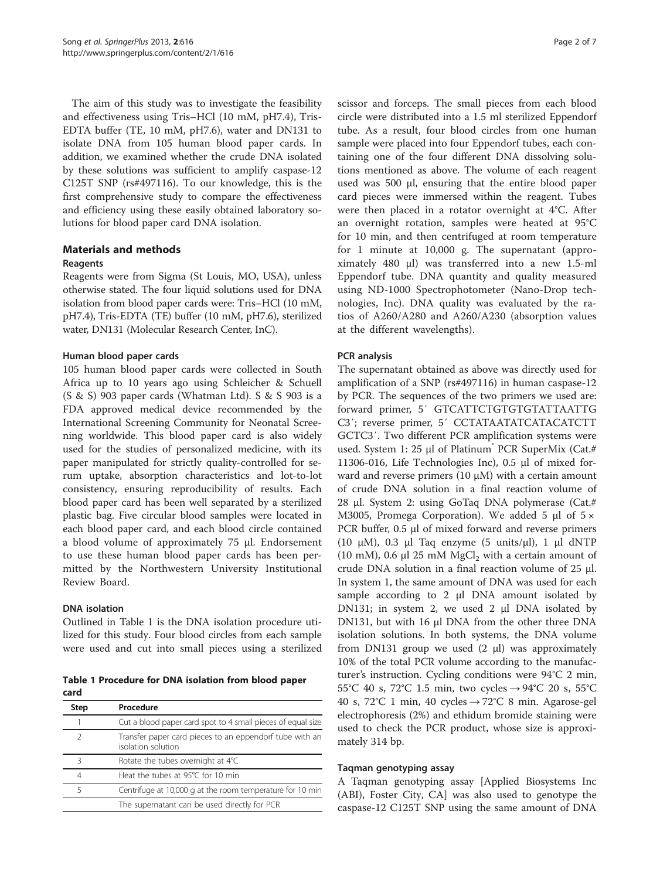<span id="page-1-0"></span>The aim of this study was to investigate the feasibility and effectiveness using Tris–HCl (10 mM, pH7.4), Tris-EDTA buffer (TE, 10 mM, pH7.6), water and DN131 to isolate DNA from 105 human blood paper cards. In addition, we examined whether the crude DNA isolated by these solutions was sufficient to amplify caspase-12 C125T SNP (rs#497116). To our knowledge, this is the first comprehensive study to compare the effectiveness and efficiency using these easily obtained laboratory solutions for blood paper card DNA isolation.

## Materials and methods

## Reagents

Reagents were from Sigma (St Louis, MO, USA), unless otherwise stated. The four liquid solutions used for DNA isolation from blood paper cards were: Tris–HCl (10 mM, pH7.4), Tris-EDTA (TE) buffer (10 mM, pH7.6), sterilized water, DN131 (Molecular Research Center, InC).

## Human blood paper cards

105 human blood paper cards were collected in South Africa up to 10 years ago using Schleicher & Schuell (S & S) 903 paper cards (Whatman Ltd). S & S 903 is a FDA approved medical device recommended by the International Screening Community for Neonatal Screening worldwide. This blood paper card is also widely used for the studies of personalized medicine, with its paper manipulated for strictly quality-controlled for serum uptake, absorption characteristics and lot-to-lot consistency, ensuring reproducibility of results. Each blood paper card has been well separated by a sterilized plastic bag. Five circular blood samples were located in each blood paper card, and each blood circle contained a blood volume of approximately 75 μl. Endorsement to use these human blood paper cards has been permitted by the Northwestern University Institutional Review Board.

## DNA isolation

Outlined in Table 1 is the DNA isolation procedure utilized for this study. Four blood circles from each sample were used and cut into small pieces using a sterilized

Table 1 Procedure for DNA isolation from blood paper card

| Step          | Procedure                                                                     |
|---------------|-------------------------------------------------------------------------------|
|               | Cut a blood paper card spot to 4 small pieces of equal size                   |
| $\mathcal{P}$ | Transfer paper card pieces to an eppendorf tube with an<br>isolation solution |
| Β             | Rotate the tubes overnight at 4°C                                             |
| 4             | Heat the tubes at 95°C for 10 min                                             |
| 5             | Centrifuge at 10,000 g at the room temperature for 10 min                     |
|               | The supernatant can be used directly for PCR                                  |

scissor and forceps. The small pieces from each blood circle were distributed into a 1.5 ml sterilized Eppendorf tube. As a result, four blood circles from one human sample were placed into four Eppendorf tubes, each containing one of the four different DNA dissolving solutions mentioned as above. The volume of each reagent used was 500 μl, ensuring that the entire blood paper card pieces were immersed within the reagent. Tubes were then placed in a rotator overnight at 4°C. After an overnight rotation, samples were heated at 95°C for 10 min, and then centrifuged at room temperature for 1 minute at 10,000 g. The supernatant (approximately 480 μl) was transferred into a new 1.5-ml Eppendorf tube. DNA quantity and quality measured using ND-1000 Spectrophotometer (Nano-Drop technologies, Inc). DNA quality was evaluated by the ratios of A260/A280 and A260/A230 (absorption values at the different wavelengths).

## PCR analysis

The supernatant obtained as above was directly used for amplification of a SNP (rs#497116) in human caspase-12 by PCR. The sequences of the two primers we used are: forward primer, 5′ GTCATTCTGTGTGTATTAATTG C3′; reverse primer, 5′ CCTATAATATCATACATCTT GCTC3′. Two different PCR amplification systems were used. System 1: 25 μl of Platinum<sup>®</sup> PCR SuperMix (Cat.# 11306-016, Life Technologies Inc), 0.5 μl of mixed forward and reverse primers  $(10 \mu M)$  with a certain amount of crude DNA solution in a final reaction volume of 28 μl. System 2: using GoTaq DNA polymerase (Cat.# M3005, Promega Corporation). We added 5  $\mu$ l of 5  $\times$ PCR buffer, 0.5 μl of mixed forward and reverse primers (10 μM), 0.3 μl Taq enzyme (5 units/μl), 1 μl dNTP (10 mM), 0.6  $\mu$ l 25 mM MgCl<sub>2</sub> with a certain amount of crude DNA solution in a final reaction volume of 25 μl. In system 1, the same amount of DNA was used for each sample according to 2 μl DNA amount isolated by DN131; in system 2, we used 2 μl DNA isolated by DN131, but with 16 μl DNA from the other three DNA isolation solutions. In both systems, the DNA volume from DN131 group we used  $(2 \mu l)$  was approximately 10% of the total PCR volume according to the manufacturer's instruction. Cycling conditions were 94°C 2 min, 55°C 40 s, 72°C 1.5 min, two cycles → 94°C 20 s, 55°C 40 s, 72°C 1 min, 40 cycles  $\rightarrow$  72°C 8 min. Agarose-gel electrophoresis (2%) and ethidum bromide staining were used to check the PCR product, whose size is approximately 314 bp.

#### Taqman genotyping assay

A Taqman genotyping assay [Applied Biosystems Inc (ABI), Foster City, CA] was also used to genotype the caspase-12 C125T SNP using the same amount of DNA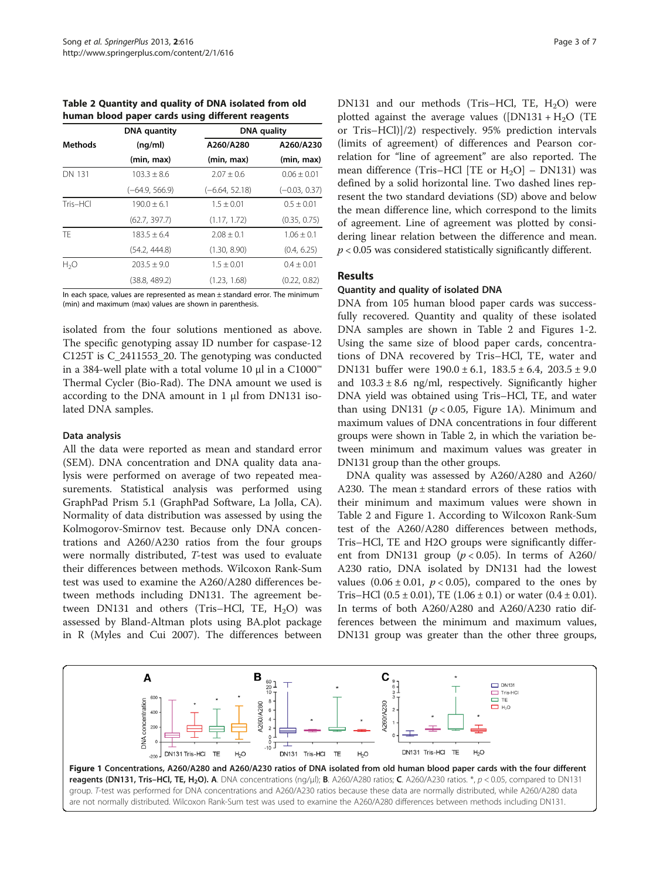<span id="page-2-0"></span>Table 2 Quantity and quality of DNA isolated from old human blood paper cards using different reagents

|                  | <b>DNA</b> quantity<br>(nq/ml) | <b>DNA</b> quality |                 |
|------------------|--------------------------------|--------------------|-----------------|
| <b>Methods</b>   |                                | A260/A280          | A260/A230       |
|                  | (min, max)                     | (min, max)         | (min, max)      |
| <b>DN 131</b>    | $103.3 + 8.6$                  | $2.07 + 0.6$       | $0.06 + 0.01$   |
|                  | $(-64.9, 566.9)$               | $(-6.64, 52.18)$   | $(-0.03, 0.37)$ |
| $Tris-HCl$       | $190.0 \pm 6.1$                | $1.5 + 0.01$       | $0.5 + 0.01$    |
|                  | (62.7, 397.7)                  | (1.17, 1.72)       | (0.35, 0.75)    |
| TF.              | $183.5 + 6.4$                  | $2.08 \pm 0.1$     | $1.06 \pm 0.1$  |
|                  | (54.2, 444.8)                  | (1.30, 8.90)       | (0.4, 6.25)     |
| H <sub>2</sub> O | $203.5 + 9.0$                  | $1.5 + 0.01$       | $0.4 + 0.01$    |
|                  | (38.8, 489.2)                  | (1.23, 1.68)       | (0.22, 0.82)    |

In each space, values are represented as mean  $\pm$  standard error. The minimum (min) and maximum (max) values are shown in parenthesis.

isolated from the four solutions mentioned as above. The specific genotyping assay ID number for caspase-12 C125T is C\_2411553\_20. The genotyping was conducted in a 384-well plate with a total volume 10 μl in a C1000™ Thermal Cycler (Bio-Rad). The DNA amount we used is according to the DNA amount in 1 μl from DN131 isolated DNA samples.

## Data analysis

All the data were reported as mean and standard error (SEM). DNA concentration and DNA quality data analysis were performed on average of two repeated measurements. Statistical analysis was performed using GraphPad Prism 5.1 (GraphPad Software, La Jolla, CA). Normality of data distribution was assessed by using the Kolmogorov-Smirnov test. Because only DNA concentrations and A260/A230 ratios from the four groups were normally distributed, T-test was used to evaluate their differences between methods. Wilcoxon Rank-Sum test was used to examine the A260/A280 differences between methods including DN131. The agreement between DN131 and others (Tris-HCl, TE,  $H_2O$ ) was assessed by Bland-Altman plots using BA.plot package in R (Myles and Cui [2007\)](#page-6-0). The differences between DN131 and our methods (Tris–HCl, TE,  $H_2O$ ) were plotted against the average values ( $[DN131 + H_2O$ ) (TE or Tris–HCl)]/2) respectively. 95% prediction intervals (limits of agreement) of differences and Pearson correlation for "line of agreement" are also reported. The mean difference (Tris-HCl [TE or  $H_2O$ ] – DN131) was defined by a solid horizontal line. Two dashed lines represent the two standard deviations (SD) above and below the mean difference line, which correspond to the limits of agreement. Line of agreement was plotted by considering linear relation between the difference and mean.  $p < 0.05$  was considered statistically significantly different.

## Results

#### Quantity and quality of isolated DNA

DNA from 105 human blood paper cards was successfully recovered. Quantity and quality of these isolated DNA samples are shown in Table 2 and Figures 1[-2](#page-3-0). Using the same size of blood paper cards, concentrations of DNA recovered by Tris–HCl, TE, water and DN131 buffer were  $190.0 \pm 6.1$ ,  $183.5 \pm 6.4$ ,  $203.5 \pm 9.0$ and  $103.3 \pm 8.6$  ng/ml, respectively. Significantly higher DNA yield was obtained using Tris–HCl, TE, and water than using DN131 ( $p < 0.05$ , Figure 1A). Minimum and maximum values of DNA concentrations in four different groups were shown in Table 2, in which the variation between minimum and maximum values was greater in DN131 group than the other groups.

DNA quality was assessed by A260/A280 and A260/ A230. The mean ± standard errors of these ratios with their minimum and maximum values were shown in Table 2 and Figure 1. According to Wilcoxon Rank-Sum test of the A260/A280 differences between methods, Tris–HCl, TE and H2O groups were significantly different from DN131 group ( $p < 0.05$ ). In terms of A260/ A230 ratio, DNA isolated by DN131 had the lowest values  $(0.06 \pm 0.01, p < 0.05)$ , compared to the ones by Tris–HCl  $(0.5 \pm 0.01)$ , TE  $(1.06 \pm 0.1)$  or water  $(0.4 \pm 0.01)$ . In terms of both A260/A280 and A260/A230 ratio differences between the minimum and maximum values, DN131 group was greater than the other three groups,

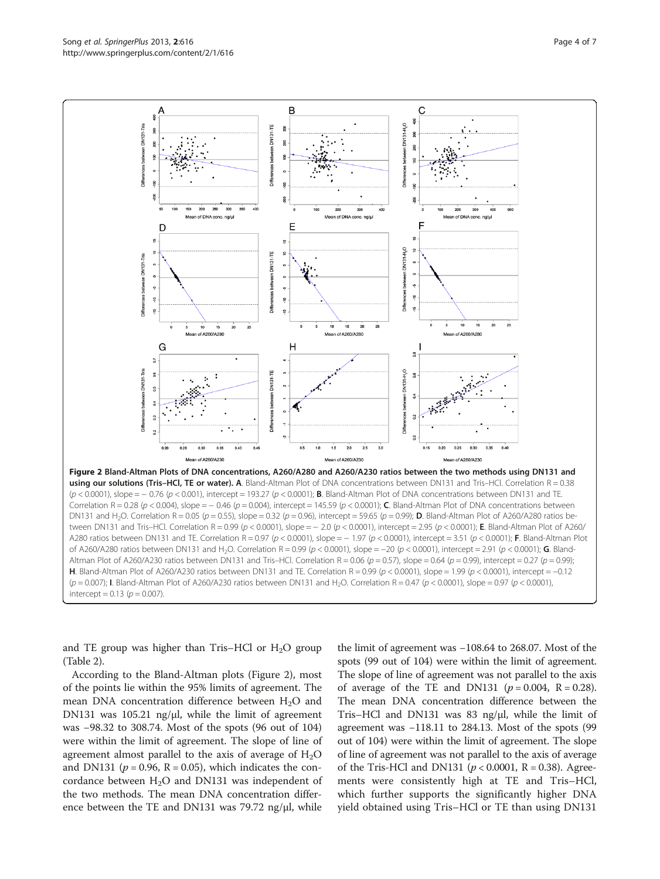<span id="page-3-0"></span>

intercept =  $0.13$  ( $p = 0.007$ ).

and TE group was higher than Tris–HCl or  $H_2O$  group (Table [2](#page-2-0)).

According to the Bland-Altman plots (Figure 2), most of the points lie within the 95% limits of agreement. The mean DNA concentration difference between  $H_2O$  and DN131 was 105.21 ng/ $\mu$ l, while the limit of agreement was −98.32 to 308.74. Most of the spots (96 out of 104) were within the limit of agreement. The slope of line of agreement almost parallel to the axis of average of  $H_2O$ and DN131 ( $p = 0.96$ , R = 0.05), which indicates the concordance between  $H_2O$  and DN131 was independent of the two methods. The mean DNA concentration difference between the TE and DN131 was 79.72 ng/μl, while the limit of agreement was −108.64 to 268.07. Most of the spots (99 out of 104) were within the limit of agreement. The slope of line of agreement was not parallel to the axis of average of the TE and DN131 ( $p = 0.004$ , R = 0.28). The mean DNA concentration difference between the Tris–HCl and DN131 was 83 ng/μl, while the limit of agreement was −118.11 to 284.13. Most of the spots (99 out of 104) were within the limit of agreement. The slope of line of agreement was not parallel to the axis of average of the Tris-HCl and DN131 ( $p < 0.0001$ , R = 0.38). Agreements were consistently high at TE and Tris–HCl, which further supports the significantly higher DNA yield obtained using Tris–HCl or TE than using DN131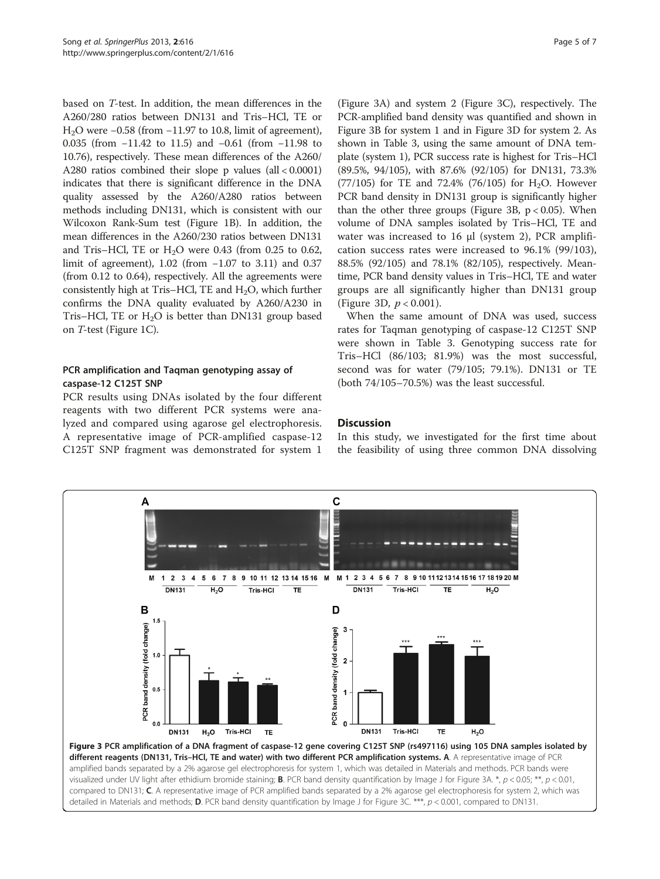based on T-test. In addition, the mean differences in the A260/280 ratios between DN131 and Tris–HCl, TE or H2O were −0.58 (from −11.97 to 10.8, limit of agreement), 0.035 (from −11.42 to 11.5) and −0.61 (from −11.98 to 10.76), respectively. These mean differences of the A260/ A280 ratios combined their slope p values (all < 0.0001) indicates that there is significant difference in the DNA quality assessed by the A260/A280 ratios between methods including DN131, which is consistent with our Wilcoxon Rank-Sum test (Figure [1](#page-2-0)B). In addition, the mean differences in the A260/230 ratios between DN131 and Tris–HCl, TE or  $H<sub>2</sub>O$  were 0.43 (from 0.25 to 0.62, limit of agreement), 1.02 (from −1.07 to 3.11) and 0.37 (from 0.12 to 0.64), respectively. All the agreements were consistently high at Tris–HCl, TE and  $H_2O$ , which further confirms the DNA quality evaluated by A260/A230 in Tris–HCl, TE or  $H_2O$  is better than DN131 group based on T-test (Figure [1](#page-2-0)C).

## PCR amplification and Taqman genotyping assay of caspase-12 C125T SNP

PCR results using DNAs isolated by the four different reagents with two different PCR systems were analyzed and compared using agarose gel electrophoresis. A representative image of PCR-amplified caspase-12 C125T SNP fragment was demonstrated for system 1

(Figure 3A) and system 2 (Figure 3C), respectively. The PCR-amplified band density was quantified and shown in Figure 3B for system 1 and in Figure 3D for system 2. As shown in Table [3](#page-5-0), using the same amount of DNA template (system 1), PCR success rate is highest for Tris–HCl (89.5%, 94/105), with 87.6% (92/105) for DN131, 73.3%  $(77/105)$  for TE and 72.4%  $(76/105)$  for H<sub>2</sub>O. However PCR band density in DN131 group is significantly higher than the other three groups (Figure 3B,  $p < 0.05$ ). When volume of DNA samples isolated by Tris–HCl, TE and water was increased to 16 μl (system 2), PCR amplification success rates were increased to 96.1% (99/103), 88.5% (92/105) and 78.1% (82/105), respectively. Meantime, PCR band density values in Tris–HCl, TE and water groups are all significantly higher than DN131 group (Figure 3D,  $p < 0.001$ ).

When the same amount of DNA was used, success rates for Taqman genotyping of caspase-12 C125T SNP were shown in Table [3.](#page-5-0) Genotyping success rate for Tris–HCl (86/103; 81.9%) was the most successful, second was for water (79/105; 79.1%). DN131 or TE (both 74/105–70.5%) was the least successful.

## **Discussion**

In this study, we investigated for the first time about the feasibility of using three common DNA dissolving

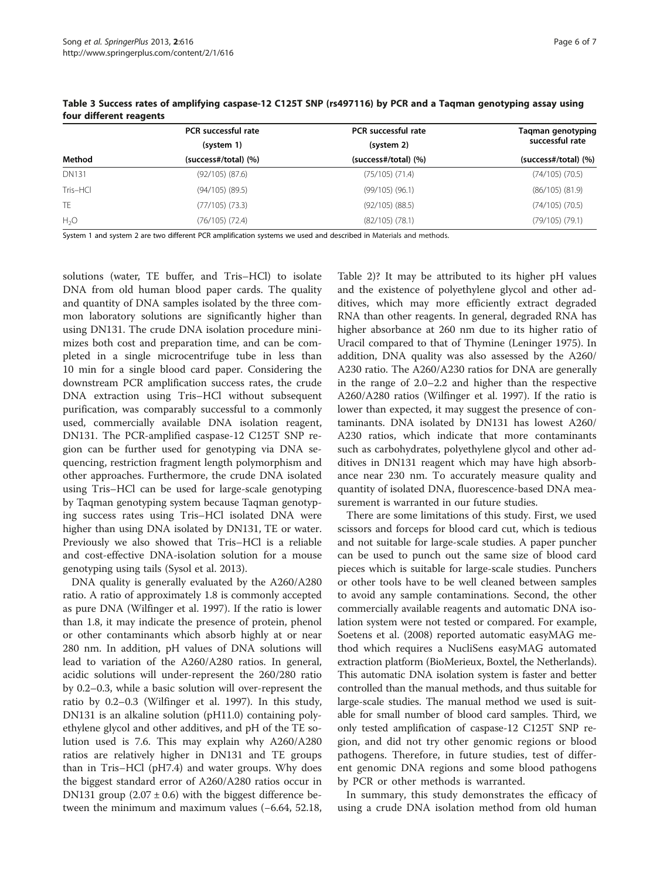|              | PCR successful rate<br>(system 1) | <b>PCR</b> successful rate<br>(system 2) | Taqman genotyping<br>successful rate |
|--------------|-----------------------------------|------------------------------------------|--------------------------------------|
|              |                                   |                                          |                                      |
| Method       | (success#/total) (%)              | (success#/total) (%)                     | (success#/total) (%)                 |
| <b>DN131</b> | $(92/105)$ $(87.6)$               | $(75/105)$ $(71.4)$                      | $(74/105)$ $(70.5)$                  |
| Tris-HCl     | $(94/105)$ $(89.5)$               | $(99/105)$ $(96.1)$                      | $(86/105)$ $(81.9)$                  |
| <b>TE</b>    | $(77/105)$ $(73.3)$               | $(92/105)$ $(88.5)$                      | (74/105) (70.5)                      |
| $H_2O$       | $(76/105)$ $(72.4)$               | $(82/105)$ $(78.1)$                      | (79/105) (79.1)                      |

<span id="page-5-0"></span>Table 3 Success rates of amplifying caspase-12 C125T SNP (rs497116) by PCR and a Taqman genotyping assay using four different reagents

System 1 and system 2 are two different PCR amplification systems we used and described in [Materials and methods.](#page-1-0)

solutions (water, TE buffer, and Tris–HCl) to isolate DNA from old human blood paper cards. The quality and quantity of DNA samples isolated by the three common laboratory solutions are significantly higher than using DN131. The crude DNA isolation procedure minimizes both cost and preparation time, and can be completed in a single microcentrifuge tube in less than 10 min for a single blood card paper. Considering the downstream PCR amplification success rates, the crude DNA extraction using Tris–HCl without subsequent purification, was comparably successful to a commonly used, commercially available DNA isolation reagent, DN131. The PCR-amplified caspase-12 C125T SNP region can be further used for genotyping via DNA sequencing, restriction fragment length polymorphism and other approaches. Furthermore, the crude DNA isolated using Tris–HCl can be used for large-scale genotyping by Taqman genotyping system because Taqman genotyping success rates using Tris–HCl isolated DNA were higher than using DNA isolated by DN131, TE or water. Previously we also showed that Tris–HCl is a reliable and cost-effective DNA-isolation solution for a mouse genotyping using tails (Sysol et al. [2013\)](#page-6-0).

DNA quality is generally evaluated by the A260/A280 ratio. A ratio of approximately 1.8 is commonly accepted as pure DNA (Wilfinger et al. [1997](#page-6-0)). If the ratio is lower than 1.8, it may indicate the presence of protein, phenol or other contaminants which absorb highly at or near 280 nm. In addition, pH values of DNA solutions will lead to variation of the A260/A280 ratios. In general, acidic solutions will under-represent the 260/280 ratio by 0.2–0.3, while a basic solution will over-represent the ratio by 0.2–0.3 (Wilfinger et al. [1997\)](#page-6-0). In this study, DN131 is an alkaline solution (pH11.0) containing polyethylene glycol and other additives, and pH of the TE solution used is 7.6. This may explain why A260/A280 ratios are relatively higher in DN131 and TE groups than in Tris–HCl (pH7.4) and water groups. Why does the biggest standard error of A260/A280 ratios occur in DN131 group  $(2.07 \pm 0.6)$  with the biggest difference between the minimum and maximum values (−6.64, 52.18,

Table [2](#page-2-0))? It may be attributed to its higher pH values and the existence of polyethylene glycol and other additives, which may more efficiently extract degraded RNA than other reagents. In general, degraded RNA has higher absorbance at 260 nm due to its higher ratio of Uracil compared to that of Thymine (Leninger [1975](#page-6-0)). In addition, DNA quality was also assessed by the A260/ A230 ratio. The A260/A230 ratios for DNA are generally in the range of 2.0–2.2 and higher than the respective A260/A280 ratios (Wilfinger et al. [1997\)](#page-6-0). If the ratio is lower than expected, it may suggest the presence of contaminants. DNA isolated by DN131 has lowest A260/ A230 ratios, which indicate that more contaminants such as carbohydrates, polyethylene glycol and other additives in DN131 reagent which may have high absorbance near 230 nm. To accurately measure quality and quantity of isolated DNA, fluorescence-based DNA measurement is warranted in our future studies.

There are some limitations of this study. First, we used scissors and forceps for blood card cut, which is tedious and not suitable for large-scale studies. A paper puncher can be used to punch out the same size of blood card pieces which is suitable for large-scale studies. Punchers or other tools have to be well cleaned between samples to avoid any sample contaminations. Second, the other commercially available reagents and automatic DNA isolation system were not tested or compared. For example, Soetens et al. ([2008](#page-6-0)) reported automatic easyMAG method which requires a NucliSens easyMAG automated extraction platform (BioMerieux, Boxtel, the Netherlands). This automatic DNA isolation system is faster and better controlled than the manual methods, and thus suitable for large-scale studies. The manual method we used is suitable for small number of blood card samples. Third, we only tested amplification of caspase-12 C125T SNP region, and did not try other genomic regions or blood pathogens. Therefore, in future studies, test of different genomic DNA regions and some blood pathogens by PCR or other methods is warranted.

In summary, this study demonstrates the efficacy of using a crude DNA isolation method from old human